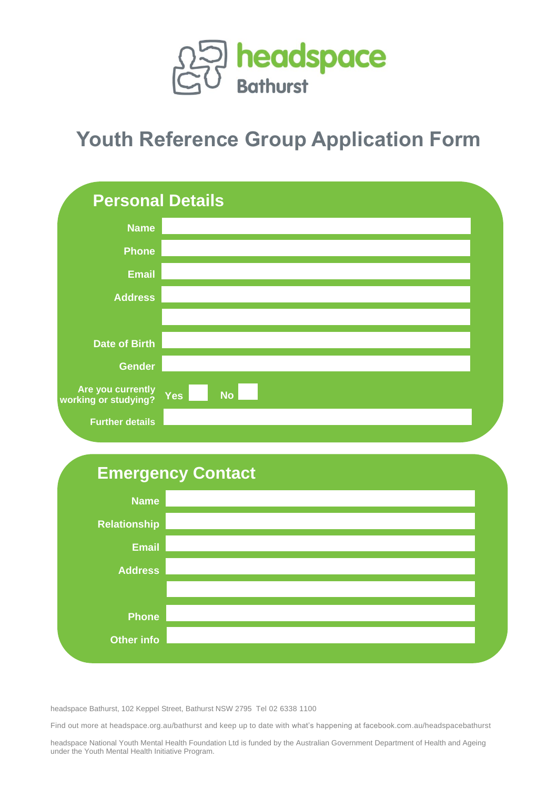

## **Youth Reference Group Application Form**



## **Emergency Contact**



headspace Bathurst, 102 Keppel Street, Bathurst NSW 2795 Tel 02 6338 1100

Find out more at headspace.org.au/bathurst and keep up to date with what's happening at facebook.com.au/headspacebathurst

headspace National Youth Mental Health Foundation Ltd is funded by the Australian Government Department of Health and Ageing under the Youth Mental Health Initiative Program.